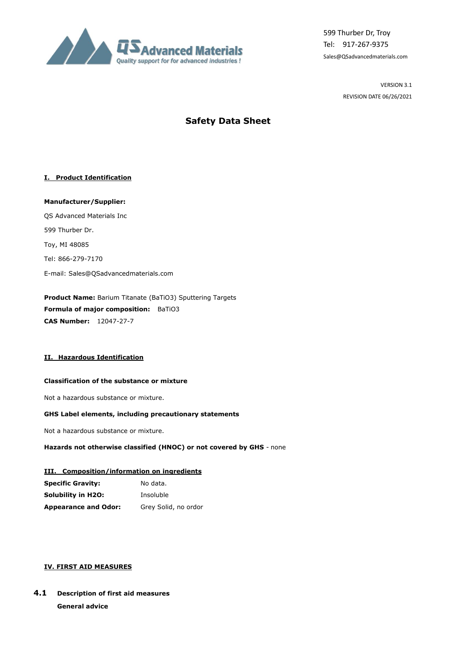

599 Thurber Dr, Troy Tel: 917-267-9375 Sales@QSadvancedmaterials.com

> VERSION 3.1 REVISION DATE 06/26/2021

# **Safety Data Sheet**

## **I. Product Identification**

**Manufacturer/Supplier:** QS Advanced Materials Inc 599 Thurber Dr. Toy, MI 48085 Tel: 866-279-7170 E-mail: Sales@QSadvancedmaterials.com

**Product Name:** Barium Titanate (BaTiO3) Sputtering Targets **Formula of major composition:** BaTiO3 **CAS Number:** 12047-27-7

## **II. Hazardous Identification**

## **Classification of the substance or mixture**

Not a hazardous substance or mixture.

## **GHS Label elements, including precautionary statements**

Not a hazardous substance or mixture.

## **Hazards not otherwise classified (HNOC) or not covered by GHS** - none

#### **III. Composition/information on ingredients**

| <b>Specific Gravity:</b>    | No data.             |
|-----------------------------|----------------------|
| Solubility in H2O:          | Insoluble            |
| <b>Appearance and Odor:</b> | Grey Solid, no ordor |

## **IV. FIRST AID MEASURES**

# **4.1 Description of first aid measures General advice**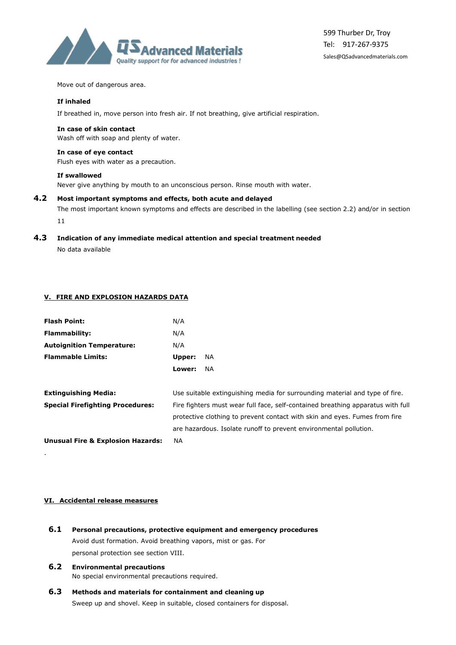

Move out of dangerous area.

#### **If inhaled**

If breathed in, move person into fresh air. If not breathing, give artificial respiration.

#### **In case of skin contact**

Wash off with soap and plenty of water.

#### **In case of eye contact**

Flush eyes with water as a precaution.

#### **If swallowed**

Never give anything by mouth to an unconscious person. Rinse mouth with water.

#### **4.2 Most important symptoms and effects, both acute and delayed**

The most important known symptoms and effects are described in the labelling (see section 2.2) and/or in section 11

## **4.3 Indication of any immediate medical attention and special treatment needed**

No data available

## **V. FIRE AND EXPLOSION HAZARDS DATA**

| <b>Flash Point:</b>                          | N/A                                                                             |     |
|----------------------------------------------|---------------------------------------------------------------------------------|-----|
| <b>Flammability:</b>                         | N/A                                                                             |     |
| <b>Autoignition Temperature:</b>             | N/A                                                                             |     |
| <b>Flammable Limits:</b>                     | Upper:                                                                          | NA. |
|                                              | Lower:                                                                          | NA. |
| <b>Extinguishing Media:</b>                  | Use suitable extinguishing media for surrounding material and type of fire.     |     |
| <b>Special Firefighting Procedures:</b>      | Fire fighters must wear full face, self-contained breathing apparatus with full |     |
|                                              | protective clothing to prevent contact with skin and eyes. Fumes from fire      |     |
|                                              | are hazardous. Isolate runoff to prevent environmental pollution.               |     |
| <b>Unusual Fire &amp; Explosion Hazards:</b> | NА                                                                              |     |

#### **VI. Accidental release measures**

.

- **6.1 Personal precautions, protective equipment and emergency procedures** Avoid dust formation. Avoid breathing vapors, mist or gas. For personal protection see section VIII.
- **6.2 Environmental precautions** No special environmental precautions required.
- **6.3 Methods and materials for containment and cleaning up** Sweep up and shovel. Keep in suitable, closed containers for disposal.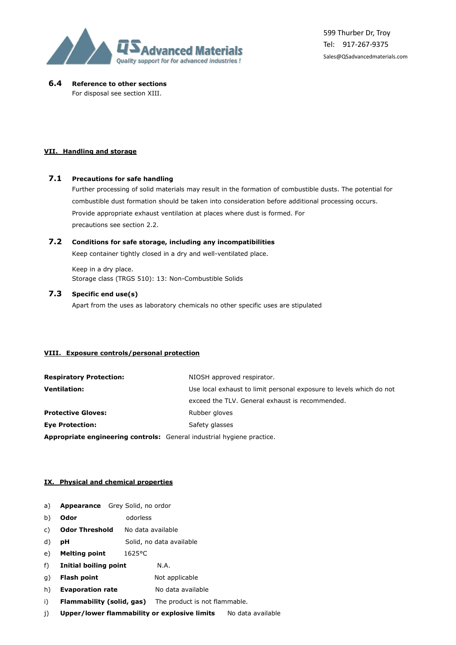

## **6.4 Reference to other sections**

For disposal see section XIII.

#### **VII. Handling and storage**

#### **7.1 Precautions for safe handling**

Further processing of solid materials may result in the formation of combustible dusts. The potential for combustible dust formation should be taken into consideration before additional processing occurs. Provide appropriate exhaust ventilation at places where dust is formed. For precautions see section 2.2.

## **7.2 Conditions for safe storage, including any incompatibilities**

Keep container tightly closed in a dry and well-ventilated place.

Keep in a dry place. Storage class (TRGS 510): 13: Non-Combustible Solids

## **7.3 Specific end use(s)**

Apart from the uses as laboratory chemicals no other specific uses are stipulated

#### **VIII. Exposure controls/personal protection**

| <b>Respiratory Protection:</b>                                                | NIOSH approved respirator.                                          |  |
|-------------------------------------------------------------------------------|---------------------------------------------------------------------|--|
| <b>Ventilation:</b>                                                           | Use local exhaust to limit personal exposure to levels which do not |  |
|                                                                               | exceed the TLV. General exhaust is recommended.                     |  |
| <b>Protective Gloves:</b>                                                     | Rubber gloves                                                       |  |
| <b>Eye Protection:</b>                                                        | Safety glasses                                                      |  |
| <b>Appropriate engineering controls:</b> General industrial hygiene practice. |                                                                     |  |

#### **IX. Physical and chemical properties**

- a) **Appearance** Grey Solid, no ordor
- b) **Odor** odorless
- c) **Odor Threshold** No data available
- d) **pH** Solid, no data available
- e) **Melting point** 1625°C
- f) **Initial boiling point** N.A.
- g) **Flash point** Not applicable
- h) **Evaporation rate** No data available
- i) **Flammability (solid, gas)** The product is not flammable.
- j) **Upper/lower flammability or explosive limits** No data available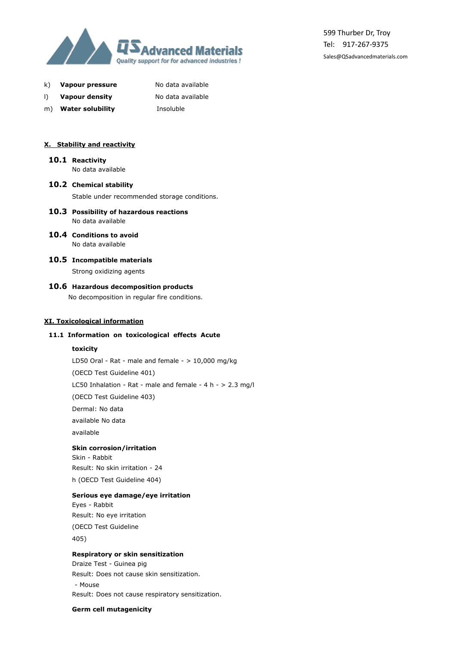

k) **Vapour pressure** No data available

|  | I) | <b>Vapour density</b> | No data available |
|--|----|-----------------------|-------------------|
|--|----|-----------------------|-------------------|

- m) **Water solubility** Insoluble
- 

#### **X. Stability and reactivity**

# **10.1 Reactivity**

No data available

**10.2 Chemical stability**

Stable under recommended storage conditions.

- **10.3 Possibility of hazardous reactions** No data available
- **10.4 Conditions to avoid** No data available
	-
- **10.5 Incompatible materials**

Strong oxidizing agents

## **10.6 Hazardous decomposition products**

No decomposition in regular fire conditions.

#### **XI. Toxicological information**

#### **11.1 Information on toxicological effects Acute**

## **toxicity**

LD50 Oral - Rat - male and female -  $> 10,000$  mg/kg

(OECD Test Guideline 401)

LC50 Inhalation - Rat - male and female - 4 h - > 2.3 mg/l

(OECD Test Guideline 403)

Dermal: No data

available No data

available

## **Skin corrosion/irritation**

Skin - Rabbit Result: No skin irritation - 24 h (OECD Test Guideline 404)

#### **Serious eye damage/eye irritation**

Eyes - Rabbit Result: No eye irritation (OECD Test Guideline 405)

#### **Respiratory or skin sensitization**

Draize Test - Guinea pig Result: Does not cause skin sensitization. - Mouse Result: Does not cause respiratory sensitization.

**Germ cell mutagenicity**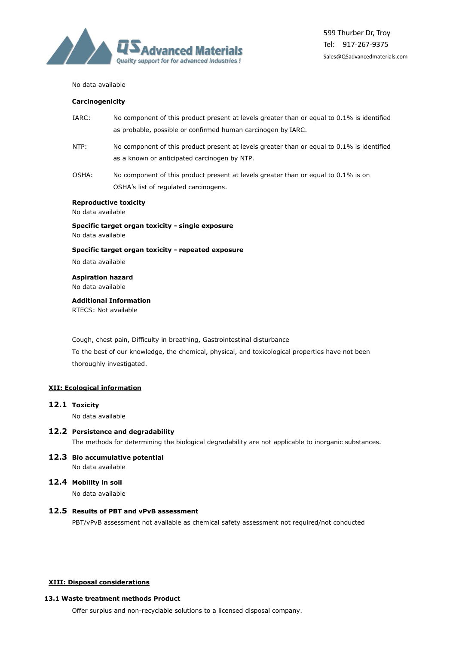

#### No data available

#### **Carcinogenicity**

- IARC: No component of this product present at levels greater than or equal to 0.1% is identified as probable, possible or confirmed human carcinogen by IARC.
- NTP: No component of this product present at levels greater than or equal to 0.1% is identified as a known or anticipated carcinogen by NTP.
- OSHA: No component of this product present at levels greater than or equal to 0.1% is on OSHA's list of regulated carcinogens.

#### **Reproductive toxicity**

No data available

**Specific target organ toxicity - single exposure** No data available

#### **Specific target organ toxicity - repeated exposure**

No data available

# **Aspiration hazard**

No data available

#### **Additional Information**

RTECS: Not available

Cough, chest pain, Difficulty in breathing, Gastrointestinal disturbance To the best of our knowledge, the chemical, physical, and toxicological properties have not been thoroughly investigated.

#### **XII: Ecological information**

#### **12.1 Toxicity**

No data available

#### **12.2 Persistence and degradability**

The methods for determining the biological degradability are not applicable to inorganic substances.

#### **12.3 Bio accumulative potential** No data available

#### **12.4 Mobility in soil**

No data available

#### **12.5 Results of PBT and vPvB assessment**

PBT/vPvB assessment not available as chemical safety assessment not required/not conducted

#### **XIII: Disposal considerations**

#### **13.1 Waste treatment methods Product**

Offer surplus and non-recyclable solutions to a licensed disposal company.